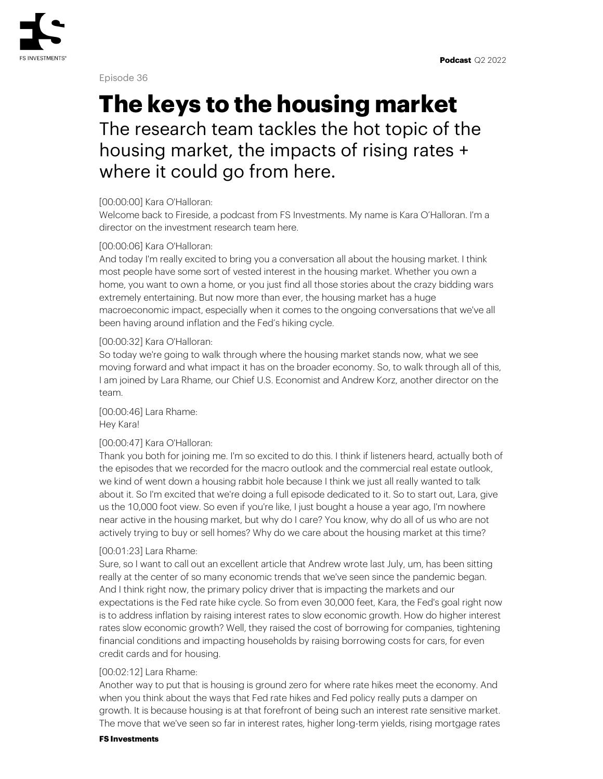

Episode 36

# **The keys to the housing market**

The research team tackles the hot topic of the housing market, the impacts of rising rates + where it could go from here.

# [00:00:00] Kara O'Halloran:

Welcome back to Fireside, a podcast from FS Investments. My name is Kara O'Halloran. I'm a director on the investment research team here.

# [00:00:06] Kara O'Halloran:

And today I'm really excited to bring you a conversation all about the housing market. I think most people have some sort of vested interest in the housing market. Whether you own a home, you want to own a home, or you just find all those stories about the crazy bidding wars extremely entertaining. But now more than ever, the housing market has a huge macroeconomic impact, especially when it comes to the ongoing conversations that we've all been having around inflation and the Fed's hiking cycle.

# [00:00:32] Kara O'Halloran:

So today we're going to walk through where the housing market stands now, what we see moving forward and what impact it has on the broader economy. So, to walk through all of this, I am joined by Lara Rhame, our Chief U.S. Economist and Andrew Korz, another director on the team.

[00:00:46] Lara Rhame: Hey Kara!

# [00:00:47] Kara O'Halloran:

Thank you both for joining me. I'm so excited to do this. I think if listeners heard, actually both of the episodes that we recorded for the macro outlook and the commercial real estate outlook, we kind of went down a housing rabbit hole because I think we just all really wanted to talk about it. So I'm excited that we're doing a full episode dedicated to it. So to start out, Lara, give us the 10,000 foot view. So even if you're like, I just bought a house a year ago, I'm nowhere near active in the housing market, but why do I care? You know, why do all of us who are not actively trying to buy or sell homes? Why do we care about the housing market at this time?

# [00:01:23] Lara Rhame:

Sure, so I want to call out an excellent article that Andrew wrote last July, um, has been sitting really at the center of so many economic trends that we've seen since the pandemic began. And I think right now, the primary policy driver that is impacting the markets and our expectations is the Fed rate hike cycle. So from even 30,000 feet, Kara, the Fed's goal right now is to address inflation by raising interest rates to slow economic growth. How do higher interest rates slow economic growth? Well, they raised the cost of borrowing for companies, tightening financial conditions and impacting households by raising borrowing costs for cars, for even credit cards and for housing.

# [00:02:12] Lara Rhame:

Another way to put that is housing is ground zero for where rate hikes meet the economy. And when you think about the ways that Fed rate hikes and Fed policy really puts a damper on growth. It is because housing is at that forefront of being such an interest rate sensitive market. The move that we've seen so far in interest rates, higher long-term yields, rising mortgage rates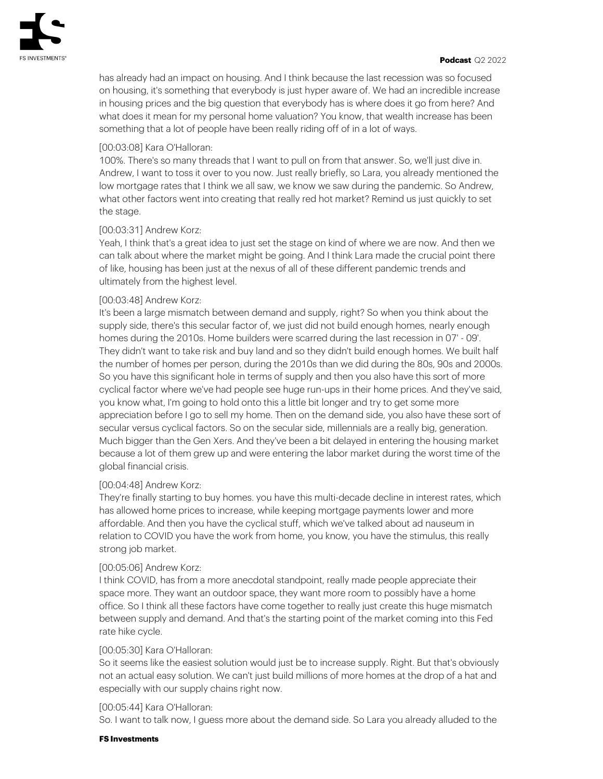has already had an impact on housing. And I think because the last recession was so focused on housing, it's something that everybody is just hyper aware of. We had an incredible increase in housing prices and the big question that everybody has is where does it go from here? And what does it mean for my personal home valuation? You know, that wealth increase has been something that a lot of people have been really riding off of in a lot of ways.

# [00:03:08] Kara O'Halloran:

100%. There's so many threads that I want to pull on from that answer. So, we'll just dive in. Andrew, I want to toss it over to you now. Just really briefly, so Lara, you already mentioned the low mortgage rates that I think we all saw, we know we saw during the pandemic. So Andrew, what other factors went into creating that really red hot market? Remind us just quickly to set the stage.

# [00:03:31] Andrew Korz:

Yeah, I think that's a great idea to just set the stage on kind of where we are now. And then we can talk about where the market might be going. And I think Lara made the crucial point there of like, housing has been just at the nexus of all of these different pandemic trends and ultimately from the highest level.

# [00:03:48] Andrew Korz:

It's been a large mismatch between demand and supply, right? So when you think about the supply side, there's this secular factor of, we just did not build enough homes, nearly enough homes during the 2010s. Home builders were scarred during the last recession in 07' - 09'. They didn't want to take risk and buy land and so they didn't build enough homes. We built half the number of homes per person, during the 2010s than we did during the 80s, 90s and 2000s. So you have this significant hole in terms of supply and then you also have this sort of more cyclical factor where we've had people see huge run-ups in their home prices. And they've said, you know what, I'm going to hold onto this a little bit longer and try to get some more appreciation before I go to sell my home. Then on the demand side, you also have these sort of secular versus cyclical factors. So on the secular side, millennials are a really big, generation. Much bigger than the Gen Xers. And they've been a bit delayed in entering the housing market because a lot of them grew up and were entering the labor market during the worst time of the global financial crisis.

# [00:04:48] Andrew Korz:

They're finally starting to buy homes. you have this multi-decade decline in interest rates, which has allowed home prices to increase, while keeping mortgage payments lower and more affordable. And then you have the cyclical stuff, which we've talked about ad nauseum in relation to COVID you have the work from home, you know, you have the stimulus, this really strong job market.

# [00:05:06] Andrew Korz:

I think COVID, has from a more anecdotal standpoint, really made people appreciate their space more. They want an outdoor space, they want more room to possibly have a home office. So I think all these factors have come together to really just create this huge mismatch between supply and demand. And that's the starting point of the market coming into this Fed rate hike cycle.

# [00:05:30] Kara O'Halloran:

So it seems like the easiest solution would just be to increase supply. Right. But that's obviously not an actual easy solution. We can't just build millions of more homes at the drop of a hat and especially with our supply chains right now.

# [00:05:44] Kara O'Halloran:

So. I want to talk now, I guess more about the demand side. So Lara you already alluded to the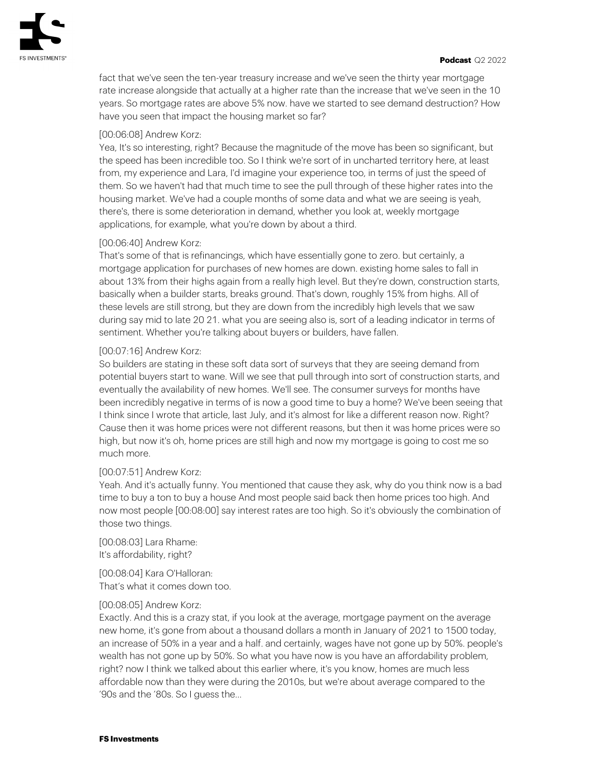fact that we've seen the ten-year treasury increase and we've seen the thirty year mortgage rate increase alongside that actually at a higher rate than the increase that we've seen in the 10 years. So mortgage rates are above 5% now. have we started to see demand destruction? How have you seen that impact the housing market so far?

# [00:06:08] Andrew Korz:

Yea, It's so interesting, right? Because the magnitude of the move has been so significant, but the speed has been incredible too. So I think we're sort of in uncharted territory here, at least from, my experience and Lara, I'd imagine your experience too, in terms of just the speed of them. So we haven't had that much time to see the pull through of these higher rates into the housing market. We've had a couple months of some data and what we are seeing is yeah, there's, there is some deterioration in demand, whether you look at, weekly mortgage applications, for example, what you're down by about a third.

# [00:06:40] Andrew Korz:

That's some of that is refinancings, which have essentially gone to zero. but certainly, a mortgage application for purchases of new homes are down. existing home sales to fall in about 13% from their highs again from a really high level. But they're down, construction starts, basically when a builder starts, breaks ground. That's down, roughly 15% from highs. All of these levels are still strong, but they are down from the incredibly high levels that we saw during say mid to late 20 21. what you are seeing also is, sort of a leading indicator in terms of sentiment. Whether you're talking about buyers or builders, have fallen.

#### [00:07:16] Andrew Korz:

So builders are stating in these soft data sort of surveys that they are seeing demand from potential buyers start to wane. Will we see that pull through into sort of construction starts, and eventually the availability of new homes. We'll see. The consumer surveys for months have been incredibly negative in terms of is now a good time to buy a home? We've been seeing that I think since I wrote that article, last July, and it's almost for like a different reason now. Right? Cause then it was home prices were not different reasons, but then it was home prices were so high, but now it's oh, home prices are still high and now my mortgage is going to cost me so much more.

#### [00:07:51] Andrew Korz:

Yeah. And it's actually funny. You mentioned that cause they ask, why do you think now is a bad time to buy a ton to buy a house And most people said back then home prices too high. And now most people [00:08:00] say interest rates are too high. So it's obviously the combination of those two things.

[00:08:03] Lara Rhame: It's affordability, right?

[00:08:04] Kara O'Halloran: That's what it comes down too.

#### [00:08:05] Andrew Korz:

Exactly. And this is a crazy stat, if you look at the average, mortgage payment on the average new home, it's gone from about a thousand dollars a month in January of 2021 to 1500 today, an increase of 50% in a year and a half. and certainly, wages have not gone up by 50%. people's wealth has not gone up by 50%. So what you have now is you have an affordability problem, right? now I think we talked about this earlier where, it's you know, homes are much less affordable now than they were during the 2010s, but we're about average compared to the '90s and the '80s. So I guess the…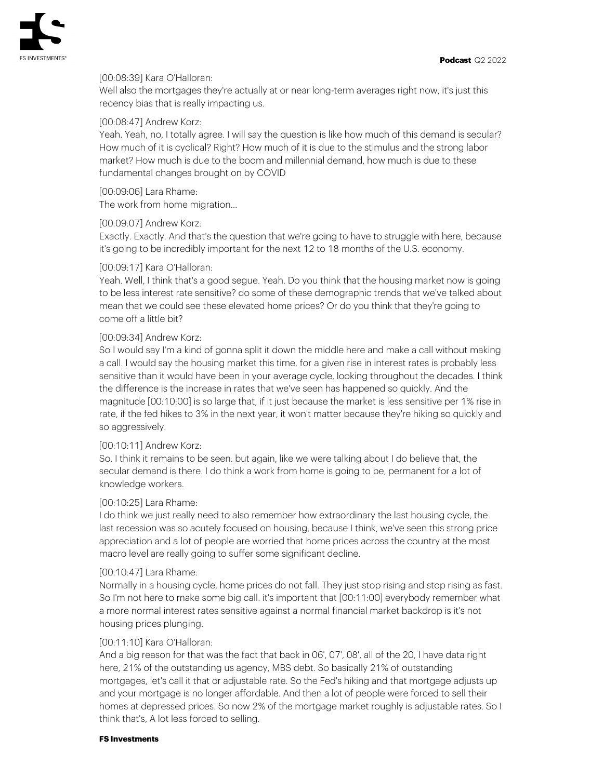

# [00:08:39] Kara O'Halloran:

Well also the mortgages they're actually at or near long-term averages right now, it's just this recency bias that is really impacting us.

## [00:08:47] Andrew Korz:

Yeah. Yeah, no, I totally agree. I will say the question is like how much of this demand is secular? How much of it is cyclical? Right? How much of it is due to the stimulus and the strong labor market? How much is due to the boom and millennial demand, how much is due to these fundamental changes brought on by COVID

[00:09:06] Lara Rhame:

The work from home migration…

## [00:09:07] Andrew Korz:

Exactly. Exactly. And that's the question that we're going to have to struggle with here, because it's going to be incredibly important for the next 12 to 18 months of the U.S. economy.

## [00:09:17] Kara O'Halloran:

Yeah. Well, I think that's a good segue. Yeah. Do you think that the housing market now is going to be less interest rate sensitive? do some of these demographic trends that we've talked about mean that we could see these elevated home prices? Or do you think that they're going to come off a little bit?

## [00:09:34] Andrew Korz:

So I would say I'm a kind of gonna split it down the middle here and make a call without making a call. I would say the housing market this time, for a given rise in interest rates is probably less sensitive than it would have been in your average cycle, looking throughout the decades. I think the difference is the increase in rates that we've seen has happened so quickly. And the magnitude [00:10:00] is so large that, if it just because the market is less sensitive per 1% rise in rate, if the fed hikes to 3% in the next year, it won't matter because they're hiking so quickly and so aggressively.

# [00:10:11] Andrew Korz:

So, I think it remains to be seen. but again, like we were talking about I do believe that, the secular demand is there. I do think a work from home is going to be, permanent for a lot of knowledge workers.

# [00:10:25] Lara Rhame:

I do think we just really need to also remember how extraordinary the last housing cycle, the last recession was so acutely focused on housing, because I think, we've seen this strong price appreciation and a lot of people are worried that home prices across the country at the most macro level are really going to suffer some significant decline.

#### [00:10:47] Lara Rhame:

Normally in a housing cycle, home prices do not fall. They just stop rising and stop rising as fast. So I'm not here to make some big call. it's important that [00:11:00] everybody remember what a more normal interest rates sensitive against a normal financial market backdrop is it's not housing prices plunging.

#### [00:11:10] Kara O'Halloran:

And a big reason for that was the fact that back in 06', 07', 08', all of the 20, I have data right here, 21% of the outstanding us agency, MBS debt. So basically 21% of outstanding mortgages, let's call it that or adjustable rate. So the Fed's hiking and that mortgage adjusts up and your mortgage is no longer affordable. And then a lot of people were forced to sell their homes at depressed prices. So now 2% of the mortgage market roughly is adjustable rates. So I think that's, A lot less forced to selling.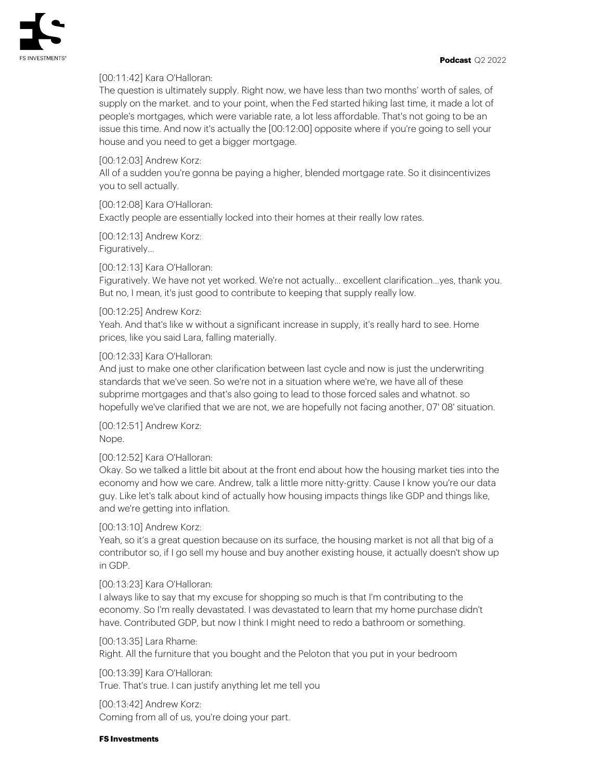

## [00:11:42] Kara O'Halloran:

The question is ultimately supply. Right now, we have less than two months' worth of sales, of supply on the market. and to your point, when the Fed started hiking last time, it made a lot of people's mortgages, which were variable rate, a lot less affordable. That's not going to be an issue this time. And now it's actually the [00:12:00] opposite where if you're going to sell your house and you need to get a bigger mortgage.

#### [00:12:03] Andrew Korz:

All of a sudden you're gonna be paying a higher, blended mortgage rate. So it disincentivizes you to sell actually.

[00:12:08] Kara O'Halloran:

Exactly people are essentially locked into their homes at their really low rates.

[00:12:13] Andrew Korz: Figuratively…

## [00:12:13] Kara O'Halloran:

Figuratively. We have not yet worked. We're not actually... excellent clarification…yes, thank you. But no, I mean, it's just good to contribute to keeping that supply really low.

## [00:12:25] Andrew Korz:

Yeah. And that's like w without a significant increase in supply, it's really hard to see. Home prices, like you said Lara, falling materially.

## [00:12:33] Kara O'Halloran:

And just to make one other clarification between last cycle and now is just the underwriting standards that we've seen. So we're not in a situation where we're, we have all of these subprime mortgages and that's also going to lead to those forced sales and whatnot. so hopefully we've clarified that we are not, we are hopefully not facing another, 07' 08' situation.

[00:12:51] Andrew Korz: Nope.

# [00:12:52] Kara O'Halloran:

Okay. So we talked a little bit about at the front end about how the housing market ties into the economy and how we care. Andrew, talk a little more nitty-gritty. Cause I know you're our data guy. Like let's talk about kind of actually how housing impacts things like GDP and things like, and we're getting into inflation.

# [00:13:10] Andrew Korz:

Yeah, so it's a great question because on its surface, the housing market is not all that big of a contributor so, if I go sell my house and buy another existing house, it actually doesn't show up in GDP.

# [00:13:23] Kara O'Halloran:

I always like to say that my excuse for shopping so much is that I'm contributing to the economy. So I'm really devastated. I was devastated to learn that my home purchase didn't have. Contributed GDP, but now I think I might need to redo a bathroom or something.

#### [00:13:35] Lara Rhame:

Right. All the furniture that you bought and the Peloton that you put in your bedroom

[00:13:39] Kara O'Halloran: True. That's true. I can justify anything let me tell you

[00:13:42] Andrew Korz: Coming from all of us, you're doing your part.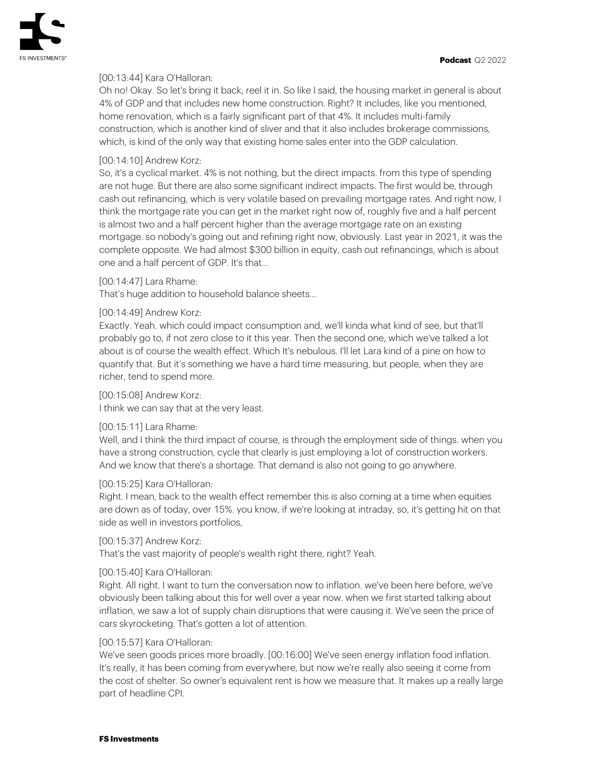# [00:13:44] Kara O'Halloran:

Oh no! Okay. So let's bring it back, reel it in. So like I said, the housing market in general is about 4% of GDP and that includes new home construction. Right? It includes, like you mentioned, home renovation, which is a fairly significant part of that 4%. It includes multi-family construction, which is another kind of sliver and that it also includes brokerage commissions, which, is kind of the only way that existing home sales enter into the GDP calculation.

# [00:14:10] Andrew Korz:

So, it's a cyclical market. 4% is not nothing, but the direct impacts. from this type of spending are not huge. But there are also some significant indirect impacts. The first would be, through cash out refinancing, which is very volatile based on prevailing mortgage rates. And right now, I think the mortgage rate you can get in the market right now of, roughly five and a half percent is almost two and a half percent higher than the average mortgage rate on an existing mortgage. so nobody's going out and refining right now, obviously. Last year in 2021, it was the complete opposite. We had almost \$300 billion in equity, cash out refinancings, which is about one and a half percent of GDP. It's that...

# [00:14:47] Lara Rhame:

That's huge addition to household balance sheets…

# [00:14:49] Andrew Korz:

Exactly. Yeah. which could impact consumption and, we'll kinda what kind of see, but that'll probably go to, if not zero close to it this year. Then the second one, which we've talked a lot about is of course the wealth effect. Which It's nebulous. I'll let Lara kind of a pine on how to quantify that. But it's something we have a hard time measuring, but people, when they are richer, tend to spend more.

## [00:15:08] Andrew Korz:

I think we can say that at the very least.

# [00:15:11] Lara Rhame:

Well, and I think the third impact of course, is through the employment side of things. when you have a strong construction, cycle that clearly is just employing a lot of construction workers. And we know that there's a shortage. That demand is also not going to go anywhere.

#### [00:15:25] Kara O'Halloran:

Right. I mean, back to the wealth effect remember this is also coming at a time when equities are down as of today, over 15%. you know, if we're looking at intraday, so, it's getting hit on that side as well in investors portfolios,

#### [00:15:37] Andrew Korz:

That's the vast majority of people's wealth right there, right? Yeah.

#### [00:15:40] Kara O'Halloran:

Right. All right. I want to turn the conversation now to inflation. we've been here before, we've obviously been talking about this for well over a year now. when we first started talking about inflation, we saw a lot of supply chain disruptions that were causing it. We've seen the price of cars skyrocketing. That's gotten a lot of attention.

#### [00:15:57] Kara O'Halloran:

We've seen goods prices more broadly. [00:16:00] We've seen energy inflation food inflation. It's really, it has been coming from everywhere, but now we're really also seeing it come from the cost of shelter. So owner's equivalent rent is how we measure that. It makes up a really large part of headline CPI.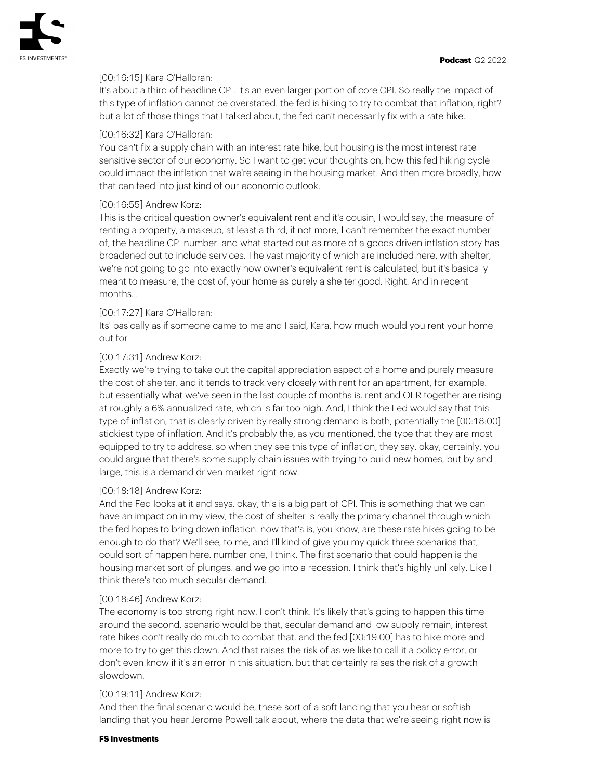

# [00:16:15] Kara O'Halloran:

It's about a third of headline CPI. It's an even larger portion of core CPI. So really the impact of this type of inflation cannot be overstated. the fed is hiking to try to combat that inflation, right? but a lot of those things that I talked about, the fed can't necessarily fix with a rate hike.

# [00:16:32] Kara O'Halloran:

You can't fix a supply chain with an interest rate hike, but housing is the most interest rate sensitive sector of our economy. So I want to get your thoughts on, how this fed hiking cycle could impact the inflation that we're seeing in the housing market. And then more broadly, how that can feed into just kind of our economic outlook.

## [00:16:55] Andrew Korz:

This is the critical question owner's equivalent rent and it's cousin, I would say, the measure of renting a property, a makeup, at least a third, if not more, I can't remember the exact number of, the headline CPI number. and what started out as more of a goods driven inflation story has broadened out to include services. The vast majority of which are included here, with shelter, we're not going to go into exactly how owner's equivalent rent is calculated, but it's basically meant to measure, the cost of, your home as purely a shelter good. Right. And in recent months...

## [00:17:27] Kara O'Halloran:

Its' basically as if someone came to me and I said, Kara, how much would you rent your home out for

## [00:17:31] Andrew Korz:

Exactly we're trying to take out the capital appreciation aspect of a home and purely measure the cost of shelter. and it tends to track very closely with rent for an apartment, for example. but essentially what we've seen in the last couple of months is. rent and OER together are rising at roughly a 6% annualized rate, which is far too high. And, I think the Fed would say that this type of inflation, that is clearly driven by really strong demand is both, potentially the [00:18:00] stickiest type of inflation. And it's probably the, as you mentioned, the type that they are most equipped to try to address. so when they see this type of inflation, they say, okay, certainly, you could argue that there's some supply chain issues with trying to build new homes, but by and large, this is a demand driven market right now.

#### [00:18:18] Andrew Korz:

And the Fed looks at it and says, okay, this is a big part of CPI. This is something that we can have an impact on in my view, the cost of shelter is really the primary channel through which the fed hopes to bring down inflation. now that's is, you know, are these rate hikes going to be enough to do that? We'll see, to me, and I'll kind of give you my quick three scenarios that, could sort of happen here. number one, I think. The first scenario that could happen is the housing market sort of plunges. and we go into a recession. I think that's highly unlikely. Like I think there's too much secular demand.

#### [00:18:46] Andrew Korz:

The economy is too strong right now. I don't think. It's likely that's going to happen this time around the second, scenario would be that, secular demand and low supply remain, interest rate hikes don't really do much to combat that. and the fed [00:19:00] has to hike more and more to try to get this down. And that raises the risk of as we like to call it a policy error, or I don't even know if it's an error in this situation. but that certainly raises the risk of a growth slowdown.

#### [00:19:11] Andrew Korz:

And then the final scenario would be, these sort of a soft landing that you hear or softish landing that you hear Jerome Powell talk about, where the data that we're seeing right now is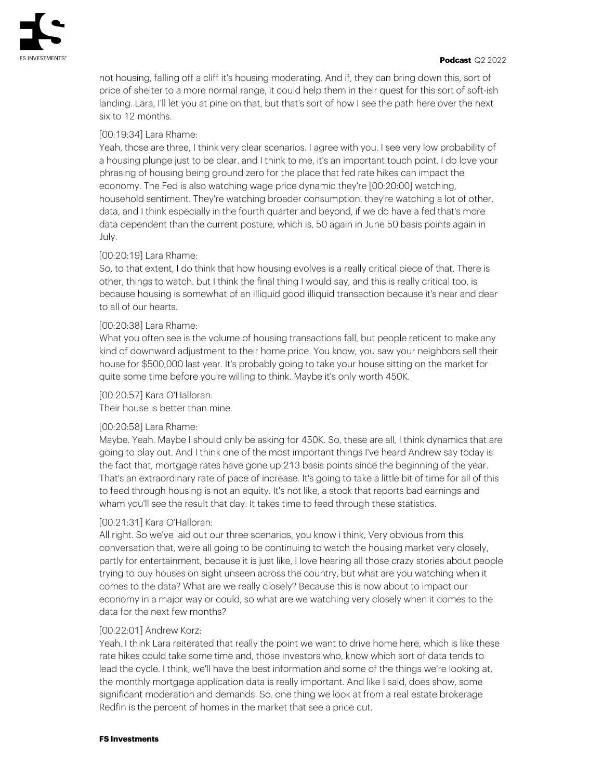

not housing, falling off a cliff it's housing moderating. And if, they can bring down this, sort of price of shelter to a more normal range, it could help them in their quest for this sort of soft-ish landing. Lara, I'll let you at pine on that, but that's sort of how I see the path here over the next six to 12 months.

# [00:19:34] Lara Rhame:

Yeah, those are three, I think very clear scenarios. I agree with you. I see very low probability of a housing plunge just to be clear. and I think to me, it's an important touch point. I do love your phrasing of housing being ground zero for the place that fed rate hikes can impact the economy. The Fed is also watching wage price dynamic they're [00:20:00] watching, household sentiment. They're watching broader consumption. they're watching a lot of other. data, and I think especially in the fourth quarter and beyond, if we do have a fed that's more data dependent than the current posture, which is, 50 again in June 50 basis points again in July.

## [00:20:19] Lara Rhame:

So, to that extent, I do think that how housing evolves is a really critical piece of that. There is other, things to watch. but I think the final thing I would say, and this is really critical too, is because housing is somewhat of an illiquid good illiquid transaction because it's near and dear to all of our hearts.

## [00:20:38] Lara Rhame:

What you often see is the volume of housing transactions fall, but people reticent to make any kind of downward adjustment to their home price. You know, you saw your neighbors sell their house for \$500,000 last year. It's probably going to take your house sitting on the market for quite some time before you're willing to think. Maybe it's only worth 450K.

# [00:20:57] Kara O'Halloran:

Their house is better than mine.

#### [00:20:58] Lara Rhame:

Maybe. Yeah. Maybe I should only be asking for 450K. So, these are all, I think dynamics that are going to play out. And I think one of the most important things I've heard Andrew say today is the fact that, mortgage rates have gone up 213 basis points since the beginning of the year. That's an extraordinary rate of pace of increase. It's going to take a little bit of time for all of this to feed through housing is not an equity. It's not like, a stock that reports bad earnings and wham you'll see the result that day. It takes time to feed through these statistics.

# [00:21:31] Kara O'Halloran:

All right. So we've laid out our three scenarios, you know i think, Very obvious from this conversation that, we're all going to be continuing to watch the housing market very closely, partly for entertainment, because it is just like, I love hearing all those crazy stories about people trying to buy houses on sight unseen across the country, but what are you watching when it comes to the data? What are we really closely? Because this is now about to impact our economy in a major way or could, so what are we watching very closely when it comes to the data for the next few months?

#### [00:22:01] Andrew Korz:

Yeah. I think Lara reiterated that really the point we want to drive home here, which is like these rate hikes could take some time and, those investors who, know which sort of data tends to lead the cycle. I think, we'll have the best information and some of the things we're looking at, the monthly mortgage application data is really important. And like I said, does show, some significant moderation and demands. So. one thing we look at from a real estate brokerage Redfin is the percent of homes in the market that see a price cut.